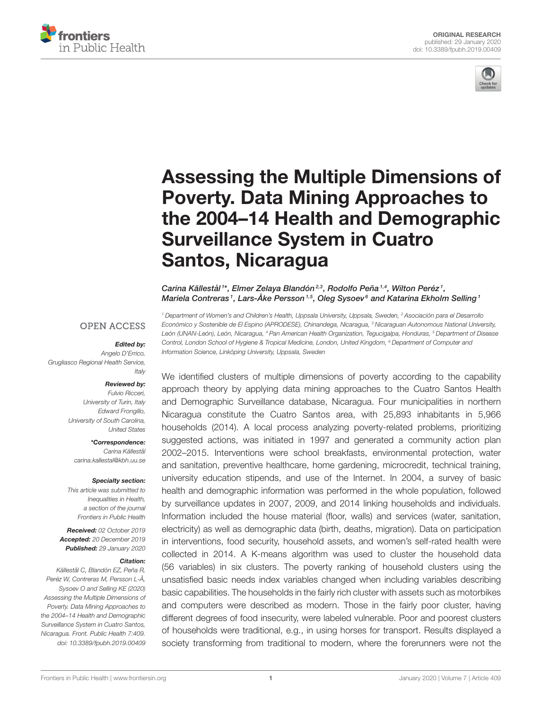



# Assessing the Multiple Dimensions of Poverty. Data Mining Approaches to [the 2004–14 Health and Demographic](https://www.frontiersin.org/articles/10.3389/fpubh.2019.00409/full) Surveillance System in Cuatro Santos, Nicaragua

[Carina Källestål](http://loop.frontiersin.org/people/807126/overview)<sup>1\*</sup>, [Elmer Zelaya Blandón](http://loop.frontiersin.org/people/808225/overview)<sup>2,3</sup>, Rodolfo Peña<sup>1,4</sup>, Wilton Peréz<sup>1</sup>, [Mariela Contreras](http://loop.frontiersin.org/people/807417/overview)1, Lars-Åke Persson<sup>1,5</sup>, [Oleg Sysoev](http://loop.frontiersin.org/people/807330/overview)<sup>s</sup> and Katarina Ekholm Selling1

#### **OPEN ACCESS**

#### Edited by:

Angelo D'Errico, Grugliasco Regional Health Service, Italy

#### Reviewed by:

Fulvio Ricceri, University of Turin, Italy Edward Frongillo, University of South Carolina, United States

\*Correspondence: Carina Källestål [carina.kallestal@kbh.uu.se](mailto:carina.kallestal@kbh.uu.se)

#### Specialty section:

This article was submitted to Inequalities in Health, a section of the journal Frontiers in Public Health

Received: 02 October 2019 Accepted: 20 December 2019 Published: 29 January 2020

#### Citation:

Källestål C, Blandón EZ, Peña R, Peréz W, Contreras M, Persson L-Å, Sysoev O and Selling KE (2020) Assessing the Multiple Dimensions of Poverty. Data Mining Approaches to the 2004–14 Health and Demographic Surveillance System in Cuatro Santos, Nicaragua. Front. Public Health 7:409. doi: [10.3389/fpubh.2019.00409](https://doi.org/10.3389/fpubh.2019.00409)

<sup>1</sup> Department of Women's and Children's Health, Uppsala University, Uppsala, Sweden, <sup>2</sup> Asociación para el Desarrollo Económico y Sostenible de El Espino (APRODESE), Chinandega, Nicaragua, <sup>3</sup> Nicaraguan Autonomous National University, León (UNAN-León), León, Nicaragua, <sup>4</sup> Pan American Health Organization, Tegucigalpa, Honduras, <sup>5</sup> Department of Disease Control, London School of Hygiene & Tropical Medicine, London, United Kingdom, <sup>6</sup> Department of Computer and Information Science, Linköping University, Uppsala, Sweden

We identified clusters of multiple dimensions of poverty according to the capability approach theory by applying data mining approaches to the Cuatro Santos Health and Demographic Surveillance database, Nicaragua. Four municipalities in northern Nicaragua constitute the Cuatro Santos area, with 25,893 inhabitants in 5,966 households (2014). A local process analyzing poverty-related problems, prioritizing suggested actions, was initiated in 1997 and generated a community action plan 2002–2015. Interventions were school breakfasts, environmental protection, water and sanitation, preventive healthcare, home gardening, microcredit, technical training, university education stipends, and use of the Internet. In 2004, a survey of basic health and demographic information was performed in the whole population, followed by surveillance updates in 2007, 2009, and 2014 linking households and individuals. Information included the house material (floor, walls) and services (water, sanitation, electricity) as well as demographic data (birth, deaths, migration). Data on participation in interventions, food security, household assets, and women's self-rated health were collected in 2014. A K-means algorithm was used to cluster the household data (56 variables) in six clusters. The poverty ranking of household clusters using the unsatisfied basic needs index variables changed when including variables describing basic capabilities. The households in the fairly rich cluster with assets such as motorbikes and computers were described as modern. Those in the fairly poor cluster, having different degrees of food insecurity, were labeled vulnerable. Poor and poorest clusters of households were traditional, e.g., in using horses for transport. Results displayed a society transforming from traditional to modern, where the forerunners were not the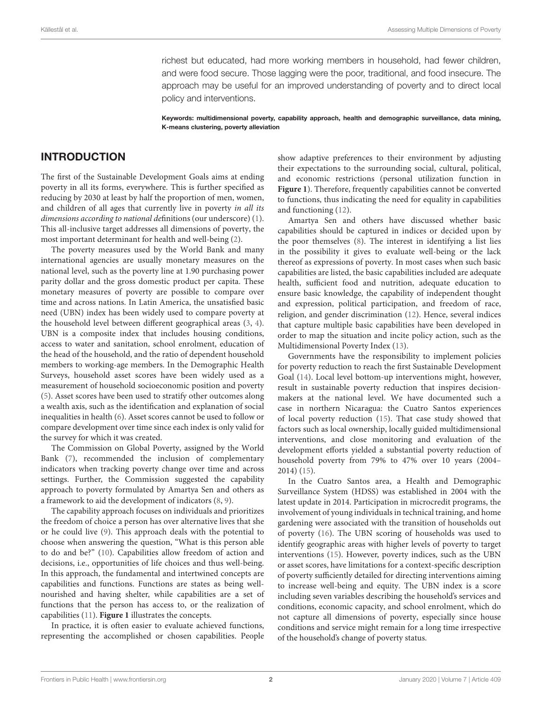richest but educated, had more working members in household, had fewer children, and were food secure. Those lagging were the poor, traditional, and food insecure. The approach may be useful for an improved understanding of poverty and to direct local policy and interventions.

Keywords: multidimensional poverty, capability approach, health and demographic surveillance, data mining, K-means clustering, poverty alleviation

### INTRODUCTION

The first of the Sustainable Development Goals aims at ending poverty in all its forms, everywhere. This is further specified as reducing by 2030 at least by half the proportion of men, women, and children of all ages that currently live in poverty in all its dimensions according to national definitions (our underscore) [\(1\)](#page-11-0). This all-inclusive target addresses all dimensions of poverty, the most important determinant for health and well-being [\(2\)](#page-11-1).

The poverty measures used by the World Bank and many international agencies are usually monetary measures on the national level, such as the poverty line at 1.90 purchasing power parity dollar and the gross domestic product per capita. These monetary measures of poverty are possible to compare over time and across nations. In Latin America, the unsatisfied basic need (UBN) index has been widely used to compare poverty at the household level between different geographical areas [\(3,](#page-11-2) [4\)](#page-11-3). UBN is a composite index that includes housing conditions, access to water and sanitation, school enrolment, education of the head of the household, and the ratio of dependent household members to working-age members. In the Demographic Health Surveys, household asset scores have been widely used as a measurement of household socioeconomic position and poverty [\(5\)](#page-11-4). Asset scores have been used to stratify other outcomes along a wealth axis, such as the identification and explanation of social inequalities in health [\(6\)](#page-11-5). Asset scores cannot be used to follow or compare development over time since each index is only valid for the survey for which it was created.

The Commission on Global Poverty, assigned by the World Bank [\(7\)](#page-11-6), recommended the inclusion of complementary indicators when tracking poverty change over time and across settings. Further, the Commission suggested the capability approach to poverty formulated by Amartya Sen and others as a framework to aid the development of indicators [\(8,](#page-11-7) [9\)](#page-11-8).

The capability approach focuses on individuals and prioritizes the freedom of choice a person has over alternative lives that she or he could live [\(9\)](#page-11-8). This approach deals with the potential to choose when answering the question, "What is this person able to do and be?" [\(10\)](#page-11-9). Capabilities allow freedom of action and decisions, i.e., opportunities of life choices and thus well-being. In this approach, the fundamental and intertwined concepts are capabilities and functions. Functions are states as being wellnourished and having shelter, while capabilities are a set of functions that the person has access to, or the realization of capabilities [\(11\)](#page-11-10). **[Figure 1](#page-2-0)** illustrates the concepts.

In practice, it is often easier to evaluate achieved functions, representing the accomplished or chosen capabilities. People show adaptive preferences to their environment by adjusting their expectations to the surrounding social, cultural, political, and economic restrictions (personal utilization function in **[Figure 1](#page-2-0)**). Therefore, frequently capabilities cannot be converted to functions, thus indicating the need for equality in capabilities and functioning [\(12\)](#page-11-11).

Amartya Sen and others have discussed whether basic capabilities should be captured in indices or decided upon by the poor themselves [\(8\)](#page-11-7). The interest in identifying a list lies in the possibility it gives to evaluate well-being or the lack thereof as expressions of poverty. In most cases when such basic capabilities are listed, the basic capabilities included are adequate health, sufficient food and nutrition, adequate education to ensure basic knowledge, the capability of independent thought and expression, political participation, and freedom of race, religion, and gender discrimination [\(12\)](#page-11-11). Hence, several indices that capture multiple basic capabilities have been developed in order to map the situation and incite policy action, such as the Multidimensional Poverty Index [\(13\)](#page-11-12).

Governments have the responsibility to implement policies for poverty reduction to reach the first Sustainable Development Goal [\(14\)](#page-11-13). Local level bottom-up interventions might, however, result in sustainable poverty reduction that inspires decisionmakers at the national level. We have documented such a case in northern Nicaragua: the Cuatro Santos experiences of local poverty reduction [\(15\)](#page-11-14). That case study showed that factors such as local ownership, locally guided multidimensional interventions, and close monitoring and evaluation of the development efforts yielded a substantial poverty reduction of household poverty from 79% to 47% over 10 years (2004– 2014) [\(15\)](#page-11-14).

In the Cuatro Santos area, a Health and Demographic Surveillance System (HDSS) was established in 2004 with the latest update in 2014. Participation in microcredit programs, the involvement of young individuals in technical training, and home gardening were associated with the transition of households out of poverty [\(16\)](#page-11-15). The UBN scoring of households was used to identify geographic areas with higher levels of poverty to target interventions [\(15\)](#page-11-14). However, poverty indices, such as the UBN or asset scores, have limitations for a context-specific description of poverty sufficiently detailed for directing interventions aiming to increase well-being and equity. The UBN index is a score including seven variables describing the household's services and conditions, economic capacity, and school enrolment, which do not capture all dimensions of poverty, especially since house conditions and service might remain for a long time irrespective of the household's change of poverty status.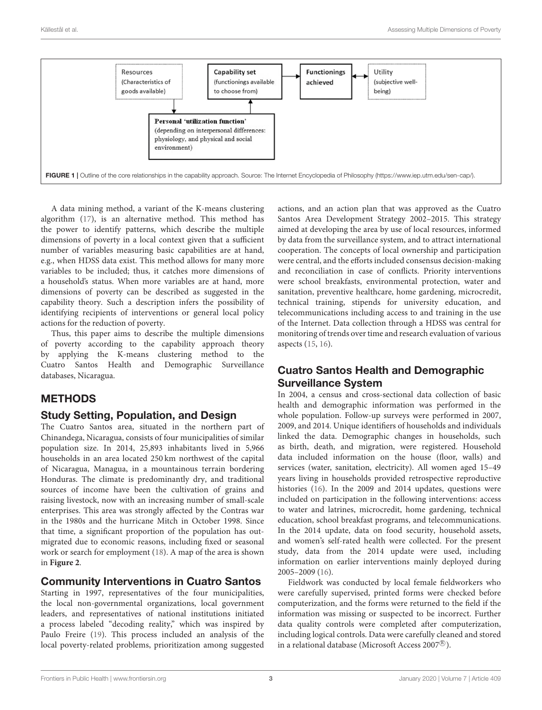

<span id="page-2-0"></span>A data mining method, a variant of the K-means clustering algorithm [\(17\)](#page-11-16), is an alternative method. This method has the power to identify patterns, which describe the multiple dimensions of poverty in a local context given that a sufficient number of variables measuring basic capabilities are at hand, e.g., when HDSS data exist. This method allows for many more variables to be included; thus, it catches more dimensions of a household's status. When more variables are at hand, more dimensions of poverty can be described as suggested in the capability theory. Such a description infers the possibility of identifying recipients of interventions or general local policy actions for the reduction of poverty.

Thus, this paper aims to describe the multiple dimensions of poverty according to the capability approach theory by applying the K-means clustering method to the Cuatro Santos Health and Demographic Surveillance databases, Nicaragua.

# METHODS

### Study Setting, Population, and Design

The Cuatro Santos area, situated in the northern part of Chinandega, Nicaragua, consists of four municipalities of similar population size. In 2014, 25,893 inhabitants lived in 5,966 households in an area located 250 km northwest of the capital of Nicaragua, Managua, in a mountainous terrain bordering Honduras. The climate is predominantly dry, and traditional sources of income have been the cultivation of grains and raising livestock, now with an increasing number of small-scale enterprises. This area was strongly affected by the Contras war in the 1980s and the hurricane Mitch in October 1998. Since that time, a significant proportion of the population has outmigrated due to economic reasons, including fixed or seasonal work or search for employment [\(18\)](#page-11-17). A map of the area is shown in **[Figure 2](#page-3-0)**.

# Community Interventions in Cuatro Santos

Starting in 1997, representatives of the four municipalities, the local non-governmental organizations, local government leaders, and representatives of national institutions initiated a process labeled "decoding reality," which was inspired by Paulo Freire [\(19\)](#page-11-18). This process included an analysis of the local poverty-related problems, prioritization among suggested actions, and an action plan that was approved as the Cuatro Santos Area Development Strategy 2002–2015. This strategy aimed at developing the area by use of local resources, informed by data from the surveillance system, and to attract international cooperation. The concepts of local ownership and participation were central, and the efforts included consensus decision-making and reconciliation in case of conflicts. Priority interventions were school breakfasts, environmental protection, water and sanitation, preventive healthcare, home gardening, microcredit, technical training, stipends for university education, and telecommunications including access to and training in the use of the Internet. Data collection through a HDSS was central for monitoring of trends over time and research evaluation of various aspects [\(15,](#page-11-14) [16\)](#page-11-15).

# Cuatro Santos Health and Demographic Surveillance System

In 2004, a census and cross-sectional data collection of basic health and demographic information was performed in the whole population. Follow-up surveys were performed in 2007, 2009, and 2014. Unique identifiers of households and individuals linked the data. Demographic changes in households, such as birth, death, and migration, were registered. Household data included information on the house (floor, walls) and services (water, sanitation, electricity). All women aged 15–49 years living in households provided retrospective reproductive histories [\(16\)](#page-11-15). In the 2009 and 2014 updates, questions were included on participation in the following interventions: access to water and latrines, microcredit, home gardening, technical education, school breakfast programs, and telecommunications. In the 2014 update, data on food security, household assets, and women's self-rated health were collected. For the present study, data from the 2014 update were used, including information on earlier interventions mainly deployed during 2005–2009 [\(16\)](#page-11-15).

Fieldwork was conducted by local female fieldworkers who were carefully supervised, printed forms were checked before computerization, and the forms were returned to the field if the information was missing or suspected to be incorrect. Further data quality controls were completed after computerization, including logical controls. Data were carefully cleaned and stored in a relational database (Microsoft Access 2007 $\mathbb B$ ).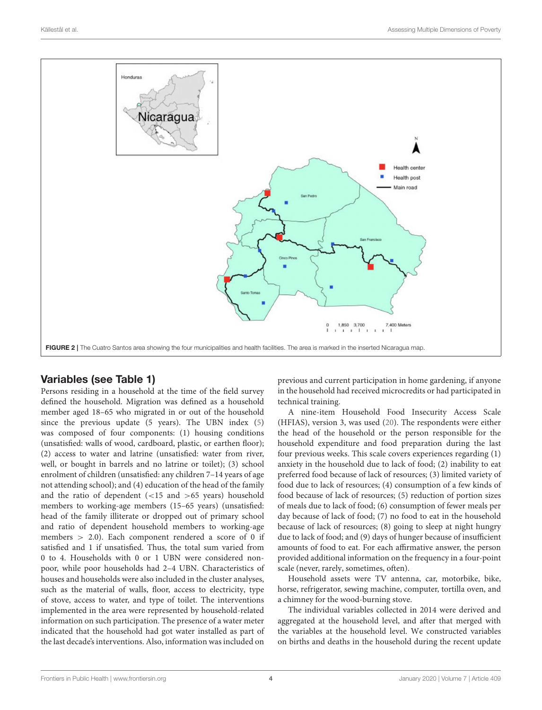

### <span id="page-3-0"></span>Variables (see [Table 1\)](#page-4-0)

Persons residing in a household at the time of the field survey defined the household. Migration was defined as a household member aged 18–65 who migrated in or out of the household since the previous update (5 years). The UBN index [\(5\)](#page-11-4) was composed of four components: (1) housing conditions (unsatisfied: walls of wood, cardboard, plastic, or earthen floor); (2) access to water and latrine (unsatisfied: water from river, well, or bought in barrels and no latrine or toilet); (3) school enrolment of children (unsatisfied: any children 7–14 years of age not attending school); and (4) education of the head of the family and the ratio of dependent  $(<15$  and  $>65$  years) household members to working-age members (15–65 years) (unsatisfied: head of the family illiterate or dropped out of primary school and ratio of dependent household members to working-age members > 2.0). Each component rendered a score of 0 if satisfied and 1 if unsatisfied. Thus, the total sum varied from 0 to 4. Households with 0 or 1 UBN were considered nonpoor, while poor households had 2–4 UBN. Characteristics of houses and households were also included in the cluster analyses, such as the material of walls, floor, access to electricity, type of stove, access to water, and type of toilet. The interventions implemented in the area were represented by household-related information on such participation. The presence of a water meter indicated that the household had got water installed as part of the last decade's interventions. Also, information was included on

previous and current participation in home gardening, if anyone in the household had received microcredits or had participated in technical training.

A nine-item Household Food Insecurity Access Scale (HFIAS), version 3, was used [\(20\)](#page-11-19). The respondents were either the head of the household or the person responsible for the household expenditure and food preparation during the last four previous weeks. This scale covers experiences regarding (1) anxiety in the household due to lack of food; (2) inability to eat preferred food because of lack of resources; (3) limited variety of food due to lack of resources; (4) consumption of a few kinds of food because of lack of resources; (5) reduction of portion sizes of meals due to lack of food; (6) consumption of fewer meals per day because of lack of food; (7) no food to eat in the household because of lack of resources; (8) going to sleep at night hungry due to lack of food; and (9) days of hunger because of insufficient amounts of food to eat. For each affirmative answer, the person provided additional information on the frequency in a four-point scale (never, rarely, sometimes, often).

Household assets were TV antenna, car, motorbike, bike, horse, refrigerator, sewing machine, computer, tortilla oven, and a chimney for the wood-burning stove.

The individual variables collected in 2014 were derived and aggregated at the household level, and after that merged with the variables at the household level. We constructed variables on births and deaths in the household during the recent update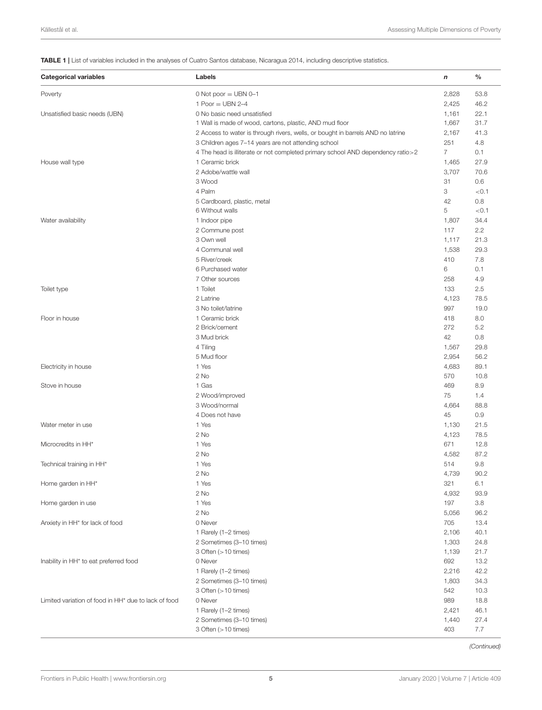<span id="page-4-0"></span>TABLE 1 | List of variables included in the analyses of Cuatro Santos database, Nicaragua 2014, including descriptive statistics.

| <b>Categorical variables</b>                         | Labels                                                                            | n              | $\frac{0}{0}$ |
|------------------------------------------------------|-----------------------------------------------------------------------------------|----------------|---------------|
| Poverty                                              | $0$ Not poor $=$ UBN 0-1                                                          | 2,828          | 53.8          |
|                                                      | 1 Poor $=$ UBN 2-4                                                                | 2,425          | 46.2          |
| Unsatisfied basic needs (UBN)                        | 0 No basic need unsatisfied                                                       | 1,161          | 22.1          |
|                                                      | 1 Wall is made of wood, cartons, plastic, AND mud floor                           | 1,667          | 31.7          |
|                                                      | 2 Access to water is through rivers, wells, or bought in barrels AND no latrine   | 2,167          | 41.3          |
|                                                      | 3 Children ages 7-14 years are not attending school                               | 251            | 4.8           |
|                                                      | 4 The head is illiterate or not completed primary school AND dependency ratio > 2 | $\overline{7}$ | 0.1           |
| House wall type                                      | 1 Ceramic brick                                                                   | 1,465          | 27.9          |
|                                                      | 2 Adobe/wattle wall                                                               | 3,707          | 70.6          |
|                                                      | 3 Wood                                                                            | 31             | 0.6           |
|                                                      | 4 Palm                                                                            | 3              | < 0.1         |
|                                                      | 5 Cardboard, plastic, metal                                                       | 42             | 0.8           |
|                                                      | 6 Without walls                                                                   | 5              | < 0.1         |
| Water availability                                   | 1 Indoor pipe                                                                     | 1,807          | 34.4          |
|                                                      | 2 Commune post                                                                    | 117            | 2.2           |
|                                                      | 3 Own well                                                                        | 1,117          | 21.3          |
|                                                      | 4 Communal well                                                                   | 1,538          | 29.3          |
|                                                      | 5 River/creek                                                                     | 410            | 7.8           |
|                                                      | 6 Purchased water                                                                 | 6              | 0.1           |
|                                                      | 7 Other sources                                                                   | 258            | 4.9           |
| Toilet type                                          | 1 Toilet                                                                          | 133            | 2.5           |
|                                                      | 2 Latrine                                                                         | 4,123          | 78.5          |
|                                                      | 3 No toilet/latrine                                                               | 997            | 19.0          |
| Floor in house                                       | 1 Ceramic brick                                                                   | 418            | 8.0           |
|                                                      | 2 Brick/cement                                                                    | 272            | 5.2           |
|                                                      | 3 Mud brick                                                                       | 42             | 0.8           |
|                                                      | 4 Tiling                                                                          | 1,567          | 29.8          |
|                                                      | 5 Mud floor                                                                       | 2,954          | 56.2          |
| Electricity in house                                 | 1 Yes                                                                             | 4,683          | 89.1          |
|                                                      | 2 No                                                                              | 570            | 10.8          |
| Stove in house                                       | 1 Gas                                                                             | 469            | 8.9           |
|                                                      | 2 Wood/improved                                                                   | 75             | 1.4           |
|                                                      | 3 Wood/normal                                                                     | 4,664          | 88.8          |
|                                                      | 4 Does not have                                                                   | 45             | 0.9           |
| Water meter in use                                   | 1 Yes                                                                             | 1,130          | 21.5          |
|                                                      | 2 No                                                                              | 4,123          | 78.5          |
| Microcredits in HH*                                  | 1 Yes                                                                             | 671            | 12.8          |
|                                                      | 2 No                                                                              | 4,582          | 87.2          |
| Technical training in HH*                            | 1 Yes                                                                             | 514            | 9.8           |
|                                                      | 2 No                                                                              | 4,739          | 90.2          |
| Home garden in HH*                                   | 1 Yes                                                                             | 321            | 6.1           |
|                                                      | 2 No                                                                              | 4,932          | 93.9          |
| Home garden in use                                   | 1 Yes                                                                             | 197            | 3.8           |
|                                                      | 2 No                                                                              | 5,056          | 96.2          |
| Anxiety in HH* for lack of food                      | 0 Never                                                                           | 705            | 13.4          |
|                                                      | 1 Rarely (1-2 times)                                                              | 2,106          | 40.1          |
|                                                      | 2 Sometimes (3-10 times)                                                          | 1,303          | 24.8          |
|                                                      | 3 Often (> 10 times)                                                              | 1,139          | 21.7          |
| Inability in HH* to eat preferred food               | 0 Never                                                                           | 692            | 13.2          |
|                                                      | 1 Rarely (1-2 times)                                                              | 2,216          | 42.2          |
|                                                      | 2 Sometimes (3-10 times)                                                          | 1,803          | 34.3          |
|                                                      | 3 Often (> 10 times)                                                              | 542            | 10.3          |
| Limited variation of food in HH* due to lack of food | 0 Never                                                                           | 989            | 18.8          |
|                                                      | 1 Rarely (1-2 times)                                                              | 2,421          | 46.1          |
|                                                      | 2 Sometimes (3-10 times)                                                          | 1,440          | 27.4          |
|                                                      | 3 Often (> 10 times)                                                              | 403            | 7.7           |

(Continued)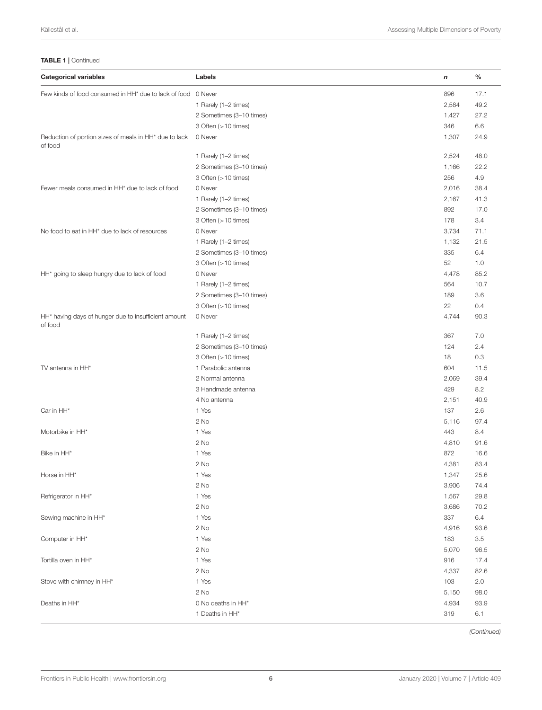#### TABLE 1 | Continued

| <b>Categorical variables</b>                                      | Labels                   | $\pmb{n}$ | $\%$ |
|-------------------------------------------------------------------|--------------------------|-----------|------|
| Few kinds of food consumed in HH* due to lack of food 0 Never     |                          | 896       | 17.1 |
|                                                                   | 1 Rarely (1-2 times)     | 2,584     | 49.2 |
|                                                                   | 2 Sometimes (3-10 times) | 1,427     | 27.2 |
|                                                                   | 3 Often $(>10$ times)    | 346       | 6.6  |
| Reduction of portion sizes of meals in HH* due to lack<br>of food | 0 Never                  | 1,307     | 24.9 |
|                                                                   | 1 Rarely (1-2 times)     | 2,524     | 48.0 |
|                                                                   | 2 Sometimes (3-10 times) | 1,166     | 22.2 |
|                                                                   | 3 Often $(>10$ times)    | 256       | 4.9  |
| Fewer meals consumed in HH* due to lack of food                   | 0 Never                  | 2,016     | 38.4 |
|                                                                   | 1 Rarely (1-2 times)     | 2,167     | 41.3 |
|                                                                   | 2 Sometimes (3-10 times) | 892       | 17.0 |
|                                                                   | 3 Often $(>10$ times)    | 178       | 3.4  |
| No food to eat in HH* due to lack of resources                    | 0 Never                  | 3,734     | 71.1 |
|                                                                   | 1 Rarely (1-2 times)     | 1,132     | 21.5 |
|                                                                   | 2 Sometimes (3-10 times) | 335       | 6.4  |
|                                                                   | 3 Often $(>10$ times)    | 52        | 1.0  |
| HH* going to sleep hungry due to lack of food                     | 0 Never                  | 4,478     | 85.2 |
|                                                                   | 1 Rarely (1-2 times)     | 564       | 10.7 |
|                                                                   | 2 Sometimes (3-10 times) | 189       | 3.6  |
|                                                                   | 3 Often $(>10$ times)    | 22        | 0.4  |
| HH* having days of hunger due to insufficient amount<br>of food   | 0 Never                  | 4,744     | 90.3 |
|                                                                   | 1 Rarely (1-2 times)     | 367       | 7.0  |
|                                                                   | 2 Sometimes (3-10 times) | 124       | 2.4  |
|                                                                   | 3 Often (> 10 times)     | 18        | 0.3  |
| TV antenna in HH*                                                 | 1 Parabolic antenna      | 604       | 11.5 |
|                                                                   | 2 Normal antenna         | 2,069     | 39.4 |
|                                                                   | 3 Handmade antenna       | 429       | 8.2  |
|                                                                   | 4 No antenna             | 2,151     | 40.9 |
| Car in HH*                                                        | 1 Yes                    | 137       | 2.6  |
|                                                                   | 2 No                     | 5,116     | 97.4 |
| Motorbike in HH*                                                  | 1 Yes                    | 443       | 8.4  |
|                                                                   | 2 No                     | 4,810     | 91.6 |
| Bike in HH*                                                       | 1 Yes                    | 872       | 16.6 |
|                                                                   | 2 No                     | 4,381     | 83.4 |
| Horse in HH*                                                      | 1 Yes                    | 1,347     | 25.6 |
|                                                                   | 2 No                     | 3,906     | 74.4 |
| Refrigerator in HH*                                               | 1 Yes                    | 1,567     | 29.8 |
|                                                                   | 2 No                     | 3,686     | 70.2 |
| Sewing machine in HH*                                             | 1 Yes                    | 337       | 6.4  |
|                                                                   | 2 No                     | 4,916     | 93.6 |
| Computer in HH*                                                   | 1 Yes                    | 183       | 3.5  |
|                                                                   | 2 No                     | 5,070     | 96.5 |
| Tortilla oven in HH*                                              | 1 Yes                    | 916       | 17.4 |
|                                                                   | 2 No                     | 4,337     | 82.6 |
| Stove with chimney in HH*                                         | 1 Yes                    | 103       | 2.0  |
|                                                                   | 2 No                     | 5,150     | 98.0 |
| Deaths in HH*                                                     | 0 No deaths in HH*       | 4,934     | 93.9 |
|                                                                   | 1 Deaths in HH*          | 319       | 6.1  |
|                                                                   |                          |           |      |

(Continued)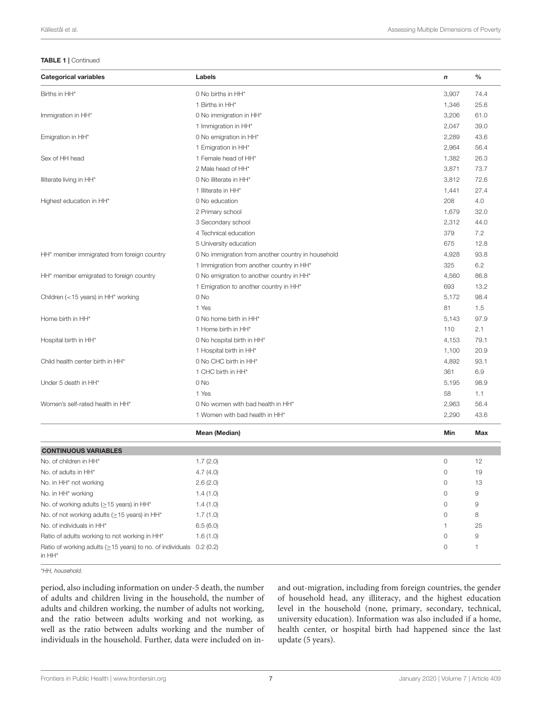#### TABLE 1 | Continued

| <b>Categorical variables</b>                                                         | Labels                                             | n            | $\frac{0}{0}$ |
|--------------------------------------------------------------------------------------|----------------------------------------------------|--------------|---------------|
| Births in HH*                                                                        | 0 No births in HH*                                 | 3,907        | 74.4          |
|                                                                                      | 1 Births in HH*                                    | 1,346        | 25.6          |
| Immigration in HH*                                                                   | 0 No immigration in HH*                            | 3,206        | 61.0          |
|                                                                                      | 1 Immigration in HH*                               | 2,047        | 39.0          |
| Emigration in HH*                                                                    | 0 No emigration in HH*                             | 2,289        | 43.6          |
|                                                                                      | 1 Emigration in HH*                                | 2,964        | 56.4          |
| Sex of HH head                                                                       | 1 Female head of HH*                               | 1,382        | 26.3          |
|                                                                                      | 2 Male head of HH*                                 | 3,871        | 73.7          |
| Illiterate living in HH*                                                             | 0 No illiterate in HH*                             | 3,812        | 72.6          |
|                                                                                      | 1 Illiterate in HH*                                | 1,441        | 27.4          |
| Highest education in HH*                                                             | 0 No education                                     | 208          | 4.0           |
|                                                                                      | 2 Primary school                                   | 1,679        | 32.0          |
|                                                                                      | 3 Secondary school                                 | 2,312        | 44.0          |
|                                                                                      | 4 Technical education                              | 379          | 7.2           |
|                                                                                      |                                                    | 675          | 12.8          |
|                                                                                      | 5 University education                             |              |               |
| HH* member immigrated from foreign country                                           | 0 No immigration from another country in household | 4,928<br>325 | 93.8<br>6.2   |
|                                                                                      | 1 Immigration from another country in HH*          |              |               |
| HH <sup>*</sup> member emigrated to foreign country                                  | 0 No emigration to another country in HH*          | 4,560        | 86.8          |
|                                                                                      | 1 Emigration to another country in HH*             | 693          | 13.2          |
| Children ( $<$ 15 years) in HH $*$ working                                           | 0 No                                               | 5,172        | 98.4          |
|                                                                                      | 1 Yes                                              | 81           | 1.5           |
| Home birth in HH*                                                                    | 0 No home birth in HH*                             | 5,143        | 97.9          |
|                                                                                      | 1 Home birth in HH*                                | 110          | 2.1           |
| Hospital birth in HH*                                                                | 0 No hospital birth in HH*                         | 4,153        | 79.1          |
|                                                                                      | 1 Hospital birth in HH*                            | 1,100        | 20.9          |
| Child health center birth in HH*                                                     | 0 No CHC birth in HH*                              | 4,892        | 93.1          |
|                                                                                      | 1 CHC birth in HH*                                 | 361          | 6.9           |
| Under 5 death in HH*                                                                 | 0 No                                               | 5,195        | 98.9          |
|                                                                                      | 1 Yes                                              | 58           | 1.1           |
| Women's self-rated health in HH*                                                     | 0 No women with bad health in HH*                  | 2,963        | 56.4          |
|                                                                                      | 1 Women with bad health in HH*                     | 2,290        | 43.6          |
|                                                                                      | Mean (Median)                                      | Min          | Max           |
| <b>CONTINUOUS VARIABLES</b>                                                          |                                                    |              |               |
| No. of children in HH*                                                               | 1.7(2.0)                                           | $\mathbf 0$  | 12            |
| No. of adults in HH*                                                                 | 4.7(4.0)                                           | 0            | 19            |
| No. in HH* not working                                                               | 2.6(2.0)                                           | 0            | 13            |
| No. in HH* working                                                                   | 1.4(1.0)                                           | 0            | 9             |
| No. of working adults ( $\geq$ 15 years) in HH*                                      | 1.4(1.0)                                           | 0            | 9             |
| No. of not working adults ( $\geq$ 15 years) in HH*                                  | 1.7(1.0)                                           | 0            | 8             |
| No. of individuals in HH*                                                            | 6.5(6.0)                                           | 1            | 25            |
| Ratio of adults working to not working in HH*                                        | 1.6(1.0)                                           | 0            | 9             |
| Ratio of working adults ( $\geq$ 15 years) to no. of individuals 0.2 (0.2)<br>in HH* |                                                    | 0            | 1             |

\*HH, household.

period, also including information on under-5 death, the number of adults and children living in the household, the number of adults and children working, the number of adults not working, and the ratio between adults working and not working, as well as the ratio between adults working and the number of individuals in the household. Further, data were included on in-

and out-migration, including from foreign countries, the gender of household head, any illiteracy, and the highest education level in the household (none, primary, secondary, technical, university education). Information was also included if a home, health center, or hospital birth had happened since the last update (5 years).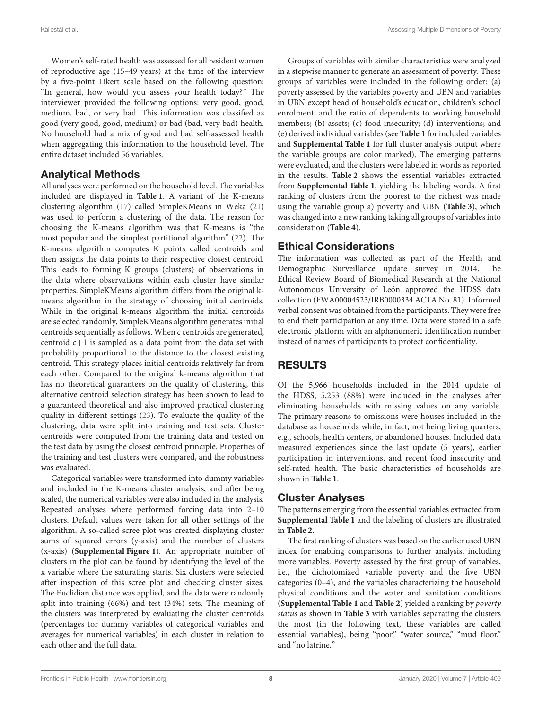Women's self-rated health was assessed for all resident women of reproductive age (15–49 years) at the time of the interview by a five-point Likert scale based on the following question: "In general, how would you assess your health today?" The interviewer provided the following options: very good, good, medium, bad, or very bad. This information was classified as good (very good, good, medium) or bad (bad, very bad) health. No household had a mix of good and bad self-assessed health when aggregating this information to the household level. The entire dataset included 56 variables.

### Analytical Methods

All analyses were performed on the household level. The variables included are displayed in **[Table 1](#page-4-0)**. A variant of the K-means clustering algorithm [\(17\)](#page-11-16) called SimpleKMeans in Weka [\(21\)](#page-11-20) was used to perform a clustering of the data. The reason for choosing the K-means algorithm was that K-means is "the most popular and the simplest partitional algorithm" [\(22\)](#page-11-21). The K-means algorithm computes K points called centroids and then assigns the data points to their respective closest centroid. This leads to forming K groups (clusters) of observations in the data where observations within each cluster have similar properties. SimpleKMeans algorithm differs from the original kmeans algorithm in the strategy of choosing initial centroids. While in the original k-means algorithm the initial centroids are selected randomly, SimpleKMeans algorithm generates initial centroids sequentially as follows. When c centroids are generated, centroid c+1 is sampled as a data point from the data set with probability proportional to the distance to the closest existing centroid. This strategy places initial centroids relatively far from each other. Compared to the original k-means algorithm that has no theoretical guarantees on the quality of clustering, this alternative centroid selection strategy has been shown to lead to a guaranteed theoretical and also improved practical clustering quality in different settings [\(23\)](#page-11-22). To evaluate the quality of the clustering, data were split into training and test sets. Cluster centroids were computed from the training data and tested on the test data by using the closest centroid principle. Properties of the training and test clusters were compared, and the robustness was evaluated.

Categorical variables were transformed into dummy variables and included in the K-means cluster analysis, and after being scaled, the numerical variables were also included in the analysis. Repeated analyses where performed forcing data into 2–10 clusters. Default values were taken for all other settings of the algorithm. A so-called scree plot was created displaying cluster sums of squared errors (y-axis) and the number of clusters (x-axis) (**[Supplemental Figure 1](#page-11-23)**). An appropriate number of clusters in the plot can be found by identifying the level of the x variable where the saturating starts. Six clusters were selected after inspection of this scree plot and checking cluster sizes. The Euclidian distance was applied, and the data were randomly split into training (66%) and test (34%) sets. The meaning of the clusters was interpreted by evaluating the cluster centroids (percentages for dummy variables of categorical variables and averages for numerical variables) in each cluster in relation to each other and the full data.

Groups of variables with similar characteristics were analyzed in a stepwise manner to generate an assessment of poverty. These groups of variables were included in the following order: (a) poverty assessed by the variables poverty and UBN and variables in UBN except head of household's education, children's school enrolment, and the ratio of dependents to working household members; (b) assets; (c) food insecurity; (d) interventions; and (e) derived individual variables (see **[Table 1](#page-4-0)** for included variables and **[Supplemental Table 1](#page-11-23)** for full cluster analysis output where the variable groups are color marked). The emerging patterns were evaluated, and the clusters were labeled in words as reported in the results. **[Table 2](#page-8-0)** shows the essential variables extracted from **[Supplemental Table 1](#page-11-23)**, yielding the labeling words. A first ranking of clusters from the poorest to the richest was made using the variable group a) poverty and UBN (**[Table 3](#page-9-0)**), which was changed into a new ranking taking all groups of variables into consideration (**[Table 4](#page-9-1)**).

### Ethical Considerations

The information was collected as part of the Health and Demographic Surveillance update survey in 2014. The Ethical Review Board of Biomedical Research at the National Autonomous University of León approved the HDSS data collection (FWA00004523/IRB0000334 ACTA No. 81). Informed verbal consent was obtained from the participants. They were free to end their participation at any time. Data were stored in a safe electronic platform with an alphanumeric identification number instead of names of participants to protect confidentiality.

# RESULTS

Of the 5,966 households included in the 2014 update of the HDSS, 5,253 (88%) were included in the analyses after eliminating households with missing values on any variable. The primary reasons to omissions were houses included in the database as households while, in fact, not being living quarters, e.g., schools, health centers, or abandoned houses. Included data measured experiences since the last update (5 years), earlier participation in interventions, and recent food insecurity and self-rated health. The basic characteristics of households are shown in **[Table 1](#page-4-0)**.

### Cluster Analyses

The patterns emerging from the essential variables extracted from **[Supplemental Table 1](#page-11-23)** and the labeling of clusters are illustrated in **[Table 2](#page-8-0)**.

The first ranking of clusters was based on the earlier used UBN index for enabling comparisons to further analysis, including more variables. Poverty assessed by the first group of variables, i.e., the dichotomized variable poverty and the five UBN categories (0–4), and the variables characterizing the household physical conditions and the water and sanitation conditions (**[Supplemental Table 1](#page-11-23)** and **[Table 2](#page-8-0)**) yielded a ranking by poverty status as shown in **[Table 3](#page-9-0)** with variables separating the clusters the most (in the following text, these variables are called essential variables), being "poor," "water source," "mud floor," and "no latrine."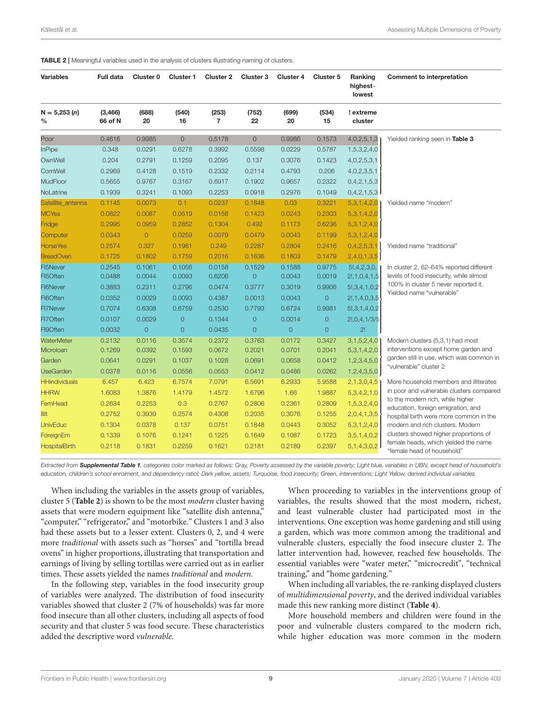<span id="page-8-0"></span>TABLE 2 | Meaningful variables used in the analysis of clusters illustrating naming of clusters.

| Variables            | <b>Full data</b>    | Cluster <sub>0</sub> | Cluster 1      | Cluster 2  | Cluster 3      | Cluster 4      | Cluster 5           | Ranking<br>highest-<br>lowest | <b>Comment to interpretation</b>                                       |  |
|----------------------|---------------------|----------------------|----------------|------------|----------------|----------------|---------------------|-------------------------------|------------------------------------------------------------------------|--|
| $N = 5,253(n)$<br>%  | (3, 466)<br>66 of N | (688)<br>20          | (540)<br>16    | (253)<br>7 | (752)<br>22    | (699)<br>20    | (534)<br>15         | ! extreme<br>cluster          |                                                                        |  |
| Poor                 | 0.4616              | 0.9985               | $\circ$        | 0.5178     | $\circ$        | 0.9986         | 0.1573              | 4,0,2,5,1,3                   | Yielded ranking seen in Table 3                                        |  |
| <b>InPipe</b>        | 0.348               | 0.0291               | 0.6278         | 0.3992     | 0.5598         | 0.0229         | 0.5787              | 1,5,3,2,4,0                   |                                                                        |  |
| OwnWell              | 0.204               | 0.2791               | 0.1259         | 0.2095     | 0.137          | 0.3076         | 0.1423              | 4,0,2,5,3,1                   |                                                                        |  |
| ComWell              | 0.2969              | 0.4128               | 0.1519         | 0.2332     | 0.2114         | 0.4793         | 0.206               | 4,0,2,3,5,1                   |                                                                        |  |
| MudFloor             | 0.5655              | 0.9767               | 0.3167         | 0.6917     | 0.1902         | 0.9657         | 0.2322              | 0,4,2,1,5,3                   |                                                                        |  |
| NoLatrine            | 0.1939              | 0.3241               | 0.1093         | 0.2253     | 0.0918         | 0.2976         | 0.1049              | 0,4,2,1,5,3                   |                                                                        |  |
| Satellite_antenna    | 0.1145              | 0.0073               | 0.1            | 0.0237     | 0.1848         | 0.03           | 0.3221              | 5,3,1,4,2,0                   | Yielded name "modern"                                                  |  |
| <b>MCYes</b>         | 0.0822              | 0.0087               | 0.0519         | 0.0158     | 0.1423         | 0.0243         | 0.2303              | 5,3,1,4,2,0                   |                                                                        |  |
| Fridge               | 0.2995              | 0.0959               | 0.2852         | 0.1304     | 0.492          | 0.1173         | 0.6236              | 5,3,1,2,4,0                   |                                                                        |  |
| Computer             | 0.0343              | $\mathsf{O}$         | 0.0259         | 0.0079     | 0.0479         | 0.0043         | 0.1199              | 5,3,1,2,4,0                   |                                                                        |  |
| <b>HorseYes</b>      | 0.2574              | 0.327                | 0.1981         | 0.249      | 0.2287         | 0.2804         | 0.2416              | 0,4,2,5,3,1                   | Yielded name "traditional"                                             |  |
| <b>BreadOven</b>     | 0.1725              | 0.1802               | 0.1759         | 0.2016     | 0.1636         | 0.1803         | 0.1479              | 2,4,0,1,3,5                   |                                                                        |  |
| FI5Never             | 0.2545              | 0.1061               | 0.1056         | 0.0158     | 0.1529         | 0.1588         | 0.9775              | 5!,4,2,3,0,                   | In cluster 2, 62–64% reported different                                |  |
| FI5Often             | 0.0488              | 0.0044               | 0.0093         | 0.6206     | $\circ$        | 0.0043         | 0.0019              | 2!, 1, 0, 4, 1, 5             | levels of food insecurity, while almost                                |  |
| FI6Never             | 0.3883              | 0.2311               | 0.2796         | 0.0474     | 0.3777         | 0.3019         | 0.9906              | 5!,3,4,1,0,2                  | 100% in cluster 5 never reported it.<br>Yielded name "vulnerable"      |  |
| FI6Often             | 0.0352              | 0.0029               | 0.0093         | 0.4387     | 0.0013         | 0.0043         | $\mathsf{O}\xspace$ | 2!, 1, 4, 0, 3, 5             |                                                                        |  |
| <b>FI7Never</b>      | 0.7074              | 0.6308               | 0.6759         | 0.2530     | 0.7793         | 0.6724         | 0.9981              | 5!,3,1,4,0,2                  |                                                                        |  |
| FI7Often             | 0.0107              | 0.0029               | $\overline{0}$ | 0.1344     | $\overline{O}$ | 0.0014         | $\overline{0}$      | 2!,0,4,1/3/5                  |                                                                        |  |
| FI9Often             | 0.0032              | $\overline{0}$       | $\overline{O}$ | 0.0435     | $\overline{O}$ | $\overline{0}$ | $\overline{0}$      | 2!                            |                                                                        |  |
| <b>WaterMeter</b>    | 0.2132              | 0.0116               | 0.3574         | 0.2372     | 0.3763         | 0.0172         | 0.3427              | 3, 1, 5, 2, 4, 0              | Modern clusters (5,3,1) had most                                       |  |
| Microloan            | 0.1269              | 0.0392               | 0.1593         | 0.0672     | 0.2021         | 0.0701         | 0.2041              | 5,3,1,4,2,0                   | interventions except home garden and                                   |  |
| Garden               | 0.0641              | 0.0291               | 0.1037         | 0.1028     | 0.0691         | 0.0658         | 0.0412              | 1,2,3,4,5,0                   | garden still in use, which was common in<br>"vulnerable" cluster 2     |  |
| <b>UseGarden</b>     | 0.0378              | 0.0116               | 0.0556         | 0.0553     | 0.0412         | 0.0486         | 0.0262              | 1,2,4,3,5,0                   |                                                                        |  |
| <b>HHindividuals</b> | 6.457               | 6.423                | 6.7574         | 7.0791     | 6.5691         | 6.2933         | 5.9588              | 2, 1, 3, 0, 4, 5              | More household members and illiterates                                 |  |
| <b>HHRW</b>          | 1.6083              | 1.3876               | 1.4179         | 1.4572     | 1.6796         | 1.66           | 1.9887              | 5,3,4,2,1,0                   | in poor and vulnerable clusters compared                               |  |
| FemHead              | 0.2634              | 0.2253               | 0.3            | 0.2767     | 0.2806         | 0.2361         | 0.2809              | 1,5,3,2,4,0                   | to the modern rich, while higher<br>education, foreign emigration, and |  |
| Illit                | 0.2752              | 0.3939               | 0.2574         | 0.4308     | 0.2035         | 0.3076         | 0.1255              | 2,0,4,1,3,5                   | hospital birth were more common in the                                 |  |
| <b>UnivEduc</b>      | 0.1304              | 0.0378               | 0.137          | 0.0751     | 0.1848         | 0.0443         | 0.3052              | 5,3,1,2,4,0                   | modern and rich clusters. Modern                                       |  |
| ForeignEm            | 0.1339              | 0.1076               | 0.1241         | 0.1225     | 0.1649         | 0.1087         | 0.1723              | 3,5,1,4,0,2                   | clusters showed higher proportions of                                  |  |
| <b>HospitalBirth</b> | 0.2118              | 0.1831               | 0.2259         | 0.1621     | 0.2181         | 0.2189         | 0.2397              | 5,1,4,3,0,2                   | female heads, which yielded the name<br>"female head of household"     |  |

Extracted from **[Supplemental Table 1](#page-11-23)**, categories color marked as follows: Gray, Poverty assessed by the variable poverty; Light blue, variables in UBN, except head of household's education, children's school enrolment, and dependency ratiol; Dark yellow, assets; Turquoise, food insecurity; Green, interventions; Light Yellow, derived individual variables.

When including the variables in the assets group of variables, cluster 5 (**[Table 2](#page-8-0)**) is shown to be the most modern cluster having assets that were modern equipment like "satellite dish antenna," "computer," "refrigerator," and "motorbike." Clusters 1 and 3 also had these assets but to a lesser extent. Clusters 0, 2, and 4 were more traditional with assets such as "horses" and "tortilla bread ovens" in higher proportions, illustrating that transportation and earnings of living by selling tortillas were carried out as in earlier times. These assets yielded the names traditional and modern.

In the following step, variables in the food insecurity group of variables were analyzed. The distribution of food insecurity variables showed that cluster 2 (7% of households) was far more food insecure than all other clusters, including all aspects of food security and that cluster 5 was food secure. These characteristics added the descriptive word vulnerable.

When proceeding to variables in the interventions group of variables, the results showed that the most modern, richest, and least vulnerable cluster had participated most in the interventions. One exception was home gardening and still using a garden, which was more common among the traditional and vulnerable clusters, especially the food insecure cluster 2. The latter intervention had, however, reached few households. The essential variables were "water meter," "microcredit", "technical training," and "home gardening."

When including all variables, the re-ranking displayed clusters of multidimensional poverty, and the derived individual variables made this new ranking more distinct (**[Table 4](#page-9-1)**).

More household members and children were found in the poor and vulnerable clusters compared to the modern rich, while higher education was more common in the modern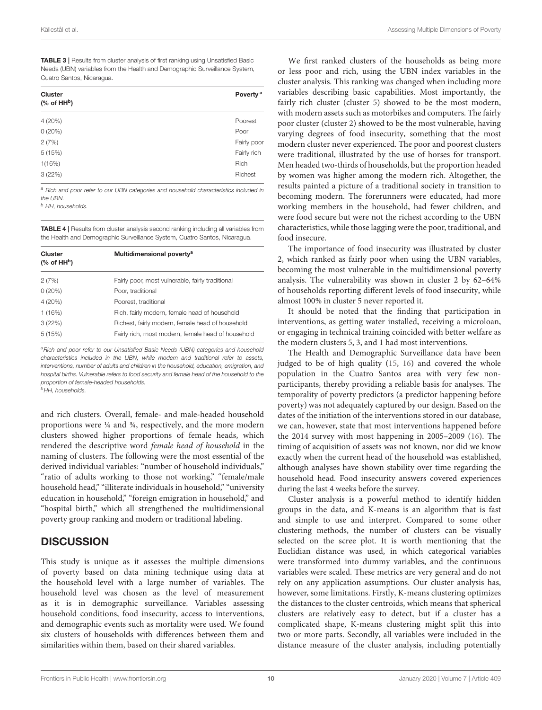<span id="page-9-0"></span>TABLE 3 | Results from cluster analysis of first ranking using Unsatisfied Basic Needs (UBN) variables from the Health and Demographic Surveillance System, Cuatro Santos, Nicaragua.

| <b>Cluster</b><br>$(% ^{b})$ of HH <sup>b</sup> ) | Poverty <sup>a</sup> |
|---------------------------------------------------|----------------------|
| 4 (20%)                                           | Poorest              |
| 0(20%)                                            | Poor                 |
| 2(7%)                                             | Fairly poor          |
| 5(15%)                                            | Fairly rich          |
| 1(16%)                                            | Rich                 |
| 3(22%)                                            | Richest              |

a Rich and poor refer to our UBN categories and household characteristics included in the UBN.

**b** HH, households.

<span id="page-9-1"></span>TABLE 4 | Results from cluster analysis second ranking including all variables from the Health and Demographic Surveillance System, Cuatro Santos, Nicaragua.

| <b>Cluster</b><br>$%$ of HH <sup>b</sup> ) | Multidimensional poverty <sup>a</sup>              |
|--------------------------------------------|----------------------------------------------------|
| 2(7%)                                      | Fairly poor, most vulnerable, fairly traditional   |
| 0(20%)                                     | Poor, traditional                                  |
| 4(20%)                                     | Poorest, traditional                               |
| 1(16%)                                     | Rich, fairly modern, female head of household      |
| 3(22%)                                     | Richest, fairly modern, female head of household   |
| 5(15%)                                     | Fairly rich, most modern, female head of household |

aRich and poor refer to our Unsatisfied Basic Needs (UBN) categories and household characteristics included in the UBN, while modern and traditional refer to assets, interventions, number of adults and children in the household, education, emigration, and hospital births. Vulnerable refers to food security and female head of the household to the proportion of female-headed households.

<sup>b</sup>HH, households.

and rich clusters. Overall, female- and male-headed household proportions were ¼ and ¾, respectively, and the more modern clusters showed higher proportions of female heads, which rendered the descriptive word female head of household in the naming of clusters. The following were the most essential of the derived individual variables: "number of household individuals," "ratio of adults working to those not working," "female/male household head," "illiterate individuals in household," "university education in household," "foreign emigration in household," and "hospital birth," which all strengthened the multidimensional poverty group ranking and modern or traditional labeling.

### **DISCUSSION**

This study is unique as it assesses the multiple dimensions of poverty based on data mining technique using data at the household level with a large number of variables. The household level was chosen as the level of measurement as it is in demographic surveillance. Variables assessing household conditions, food insecurity, access to interventions, and demographic events such as mortality were used. We found six clusters of households with differences between them and similarities within them, based on their shared variables.

We first ranked clusters of the households as being more or less poor and rich, using the UBN index variables in the cluster analysis. This ranking was changed when including more variables describing basic capabilities. Most importantly, the fairly rich cluster (cluster 5) showed to be the most modern, with modern assets such as motorbikes and computers. The fairly poor cluster (cluster 2) showed to be the most vulnerable, having varying degrees of food insecurity, something that the most modern cluster never experienced. The poor and poorest clusters were traditional, illustrated by the use of horses for transport. Men headed two-thirds of households, but the proportion headed by women was higher among the modern rich. Altogether, the results painted a picture of a traditional society in transition to becoming modern. The forerunners were educated, had more working members in the household, had fewer children, and were food secure but were not the richest according to the UBN characteristics, while those lagging were the poor, traditional, and food insecure.

The importance of food insecurity was illustrated by cluster 2, which ranked as fairly poor when using the UBN variables, becoming the most vulnerable in the multidimensional poverty analysis. The vulnerability was shown in cluster 2 by 62–64% of households reporting different levels of food insecurity, while almost 100% in cluster 5 never reported it.

It should be noted that the finding that participation in interventions, as getting water installed, receiving a microloan, or engaging in technical training coincided with better welfare as the modern clusters 5, 3, and 1 had most interventions.

The Health and Demographic Surveillance data have been judged to be of high quality [\(15,](#page-11-14) [16\)](#page-11-15) and covered the whole population in the Cuatro Santos area with very few nonparticipants, thereby providing a reliable basis for analyses. The temporality of poverty predictors (a predictor happening before poverty) was not adequately captured by our design. Based on the dates of the initiation of the interventions stored in our database, we can, however, state that most interventions happened before the 2014 survey with most happening in 2005–2009 [\(16\)](#page-11-15). The timing of acquisition of assets was not known, nor did we know exactly when the current head of the household was established, although analyses have shown stability over time regarding the household head. Food insecurity answers covered experiences during the last 4 weeks before the survey.

Cluster analysis is a powerful method to identify hidden groups in the data, and K-means is an algorithm that is fast and simple to use and interpret. Compared to some other clustering methods, the number of clusters can be visually selected on the scree plot. It is worth mentioning that the Euclidian distance was used, in which categorical variables were transformed into dummy variables, and the continuous variables were scaled. These metrics are very general and do not rely on any application assumptions. Our cluster analysis has, however, some limitations. Firstly, K-means clustering optimizes the distances to the cluster centroids, which means that spherical clusters are relatively easy to detect, but if a cluster has a complicated shape, K-means clustering might split this into two or more parts. Secondly, all variables were included in the distance measure of the cluster analysis, including potentially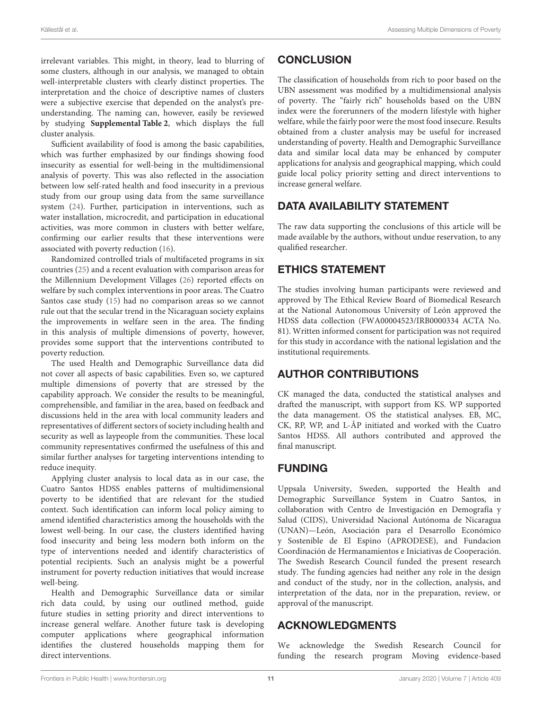irrelevant variables. This might, in theory, lead to blurring of some clusters, although in our analysis, we managed to obtain well-interpretable clusters with clearly distinct properties. The interpretation and the choice of descriptive names of clusters were a subjective exercise that depended on the analyst's preunderstanding. The naming can, however, easily be reviewed by studying **[Supplemental Table 2](#page-11-23)**, which displays the full cluster analysis.

Sufficient availability of food is among the basic capabilities, which was further emphasized by our findings showing food insecurity as essential for well-being in the multidimensional analysis of poverty. This was also reflected in the association between low self-rated health and food insecurity in a previous study from our group using data from the same surveillance system [\(24\)](#page-11-24). Further, participation in interventions, such as water installation, microcredit, and participation in educational activities, was more common in clusters with better welfare, confirming our earlier results that these interventions were associated with poverty reduction [\(16\)](#page-11-15).

Randomized controlled trials of multifaceted programs in six countries [\(25\)](#page-11-25) and a recent evaluation with comparison areas for the Millennium Development Villages [\(26\)](#page-11-26) reported effects on welfare by such complex interventions in poor areas. The Cuatro Santos case study [\(15\)](#page-11-14) had no comparison areas so we cannot rule out that the secular trend in the Nicaraguan society explains the improvements in welfare seen in the area. The finding in this analysis of multiple dimensions of poverty, however, provides some support that the interventions contributed to poverty reduction.

The used Health and Demographic Surveillance data did not cover all aspects of basic capabilities. Even so, we captured multiple dimensions of poverty that are stressed by the capability approach. We consider the results to be meaningful, comprehensible, and familiar in the area, based on feedback and discussions held in the area with local community leaders and representatives of different sectors of society including health and security as well as laypeople from the communities. These local community representatives confirmed the usefulness of this and similar further analyses for targeting interventions intending to reduce inequity.

Applying cluster analysis to local data as in our case, the Cuatro Santos HDSS enables patterns of multidimensional poverty to be identified that are relevant for the studied context. Such identification can inform local policy aiming to amend identified characteristics among the households with the lowest well-being. In our case, the clusters identified having food insecurity and being less modern both inform on the type of interventions needed and identify characteristics of potential recipients. Such an analysis might be a powerful instrument for poverty reduction initiatives that would increase well-being.

Health and Demographic Surveillance data or similar rich data could, by using our outlined method, guide future studies in setting priority and direct interventions to increase general welfare. Another future task is developing computer applications where geographical information identifies the clustered households mapping them for direct interventions.

# **CONCLUSION**

The classification of households from rich to poor based on the UBN assessment was modified by a multidimensional analysis of poverty. The "fairly rich" households based on the UBN index were the forerunners of the modern lifestyle with higher welfare, while the fairly poor were the most food insecure. Results obtained from a cluster analysis may be useful for increased understanding of poverty. Health and Demographic Surveillance data and similar local data may be enhanced by computer applications for analysis and geographical mapping, which could guide local policy priority setting and direct interventions to increase general welfare.

# DATA AVAILABILITY STATEMENT

The raw data supporting the conclusions of this article will be made available by the authors, without undue reservation, to any qualified researcher.

# ETHICS STATEMENT

The studies involving human participants were reviewed and approved by The Ethical Review Board of Biomedical Research at the National Autonomous University of León approved the HDSS data collection (FWA00004523/IRB0000334 ACTA No. 81). Written informed consent for participation was not required for this study in accordance with the national legislation and the institutional requirements.

# AUTHOR CONTRIBUTIONS

CK managed the data, conducted the statistical analyses and drafted the manuscript, with support from KS. WP supported the data management. OS the statistical analyses. EB, MC, CK, RP, WP, and L-ÅP initiated and worked with the Cuatro Santos HDSS. All authors contributed and approved the final manuscript.

# FUNDING

Uppsala University, Sweden, supported the Health and Demographic Surveillance System in Cuatro Santos, in collaboration with Centro de Investigación en Demografía y Salud (CIDS), Universidad Nacional Autónoma de Nicaragua (UNAN)—León, Asociación para el Desarrollo Económico y Sostenible de El Espino (APRODESE), and Fundacion Coordinación de Hermanamientos e Iniciativas de Cooperación. The Swedish Research Council funded the present research study. The funding agencies had neither any role in the design and conduct of the study, nor in the collection, analysis, and interpretation of the data, nor in the preparation, review, or approval of the manuscript.

# ACKNOWLEDGMENTS

We acknowledge the Swedish Research Council for funding the research program Moving evidence-based